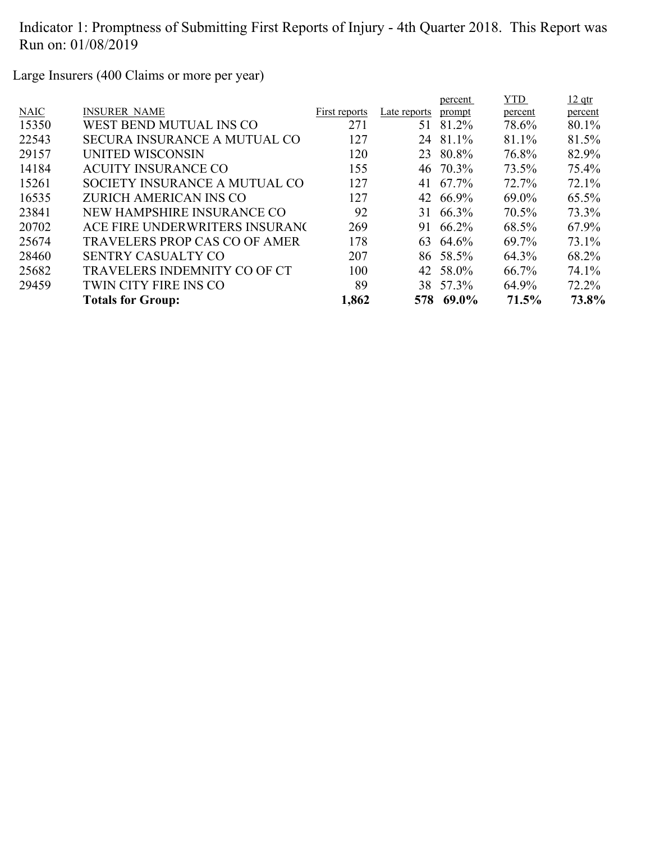Large Insurers (400 Claims or more per year)

|             |                                      |               |              | percent   | <b>YTD</b> | $12$ qtr |
|-------------|--------------------------------------|---------------|--------------|-----------|------------|----------|
| <b>NAIC</b> | <b>INSURER NAME</b>                  | First reports | Late reports | prompt    | percent    | percent  |
| 15350       | WEST BEND MUTUAL INS CO              | 271           | 51           | 81.2%     | 78.6%      | 80.1%    |
| 22543       | <b>SECURA INSURANCE A MUTUAL CO</b>  | 127           | 24           | 81.1%     | 81.1%      | 81.5%    |
| 29157       | UNITED WISCONSIN                     | 120           | 23           | 80.8%     | 76.8%      | 82.9%    |
| 14184       | <b>ACUITY INSURANCE CO</b>           | 155           |              | 46 70.3%  | 73.5%      | 75.4%    |
| 15261       | SOCIETY INSURANCE A MUTUAL CO        | 127           | 41           | 67.7%     | 72.7%      | 72.1%    |
| 16535       | ZURICH AMERICAN INS CO               | 127           |              | 42 66.9%  | $69.0\%$   | 65.5%    |
| 23841       | NEW HAMPSHIRE INSURANCE CO           | 92            | 31           | 66.3%     | 70.5%      | 73.3%    |
| 20702       | ACE FIRE UNDERWRITERS INSURANG       | 269           | 91           | 66.2%     | 68.5%      | 67.9%    |
| 25674       | <b>TRAVELERS PROP CAS CO OF AMER</b> | 178           |              | 63 64.6%  | 69.7%      | 73.1%    |
| 28460       | <b>SENTRY CASUALTY CO</b>            | 207           |              | 86 58.5%  | 64.3%      | 68.2%    |
| 25682       | <b>TRAVELERS INDEMNITY CO OF CT</b>  | 100           |              | 42 58.0%  | 66.7%      | 74.1%    |
| 29459       | TWIN CITY FIRE INS CO                | 89            |              | 38 57.3%  | 64.9%      | 72.2%    |
|             | <b>Totals for Group:</b>             | 1,862         |              | 578 69.0% | 71.5%      | 73.8%    |
|             |                                      |               |              |           |            |          |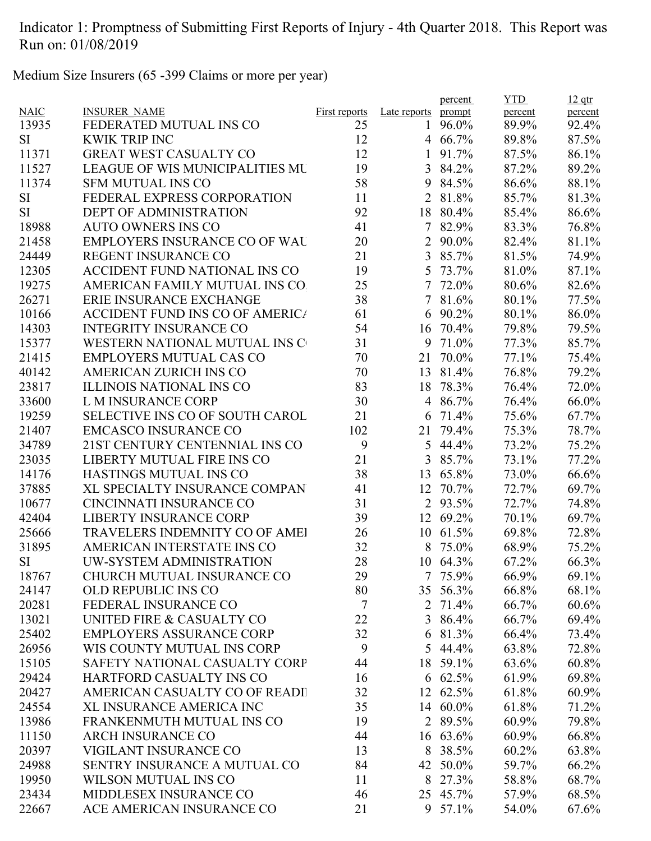Medium Size Insurers (65 -399 Claims or more per year)

|             |                                        |                      |                | percent         | <b>YTD</b> | $12$ qtr |
|-------------|----------------------------------------|----------------------|----------------|-----------------|------------|----------|
| <b>NAIC</b> | <b>INSURER NAME</b>                    | <b>First reports</b> | Late reports   | prompt          | percent    | percent  |
| 13935       | FEDERATED MUTUAL INS CO                | 25                   | 1              | 96.0%           | 89.9%      | 92.4%    |
| <b>SI</b>   | <b>KWIK TRIP INC</b>                   | 12                   |                | 4 66.7%         | 89.8%      | 87.5%    |
| 11371       | <b>GREAT WEST CASUALTY CO</b>          | 12                   | 1              | 91.7%           | 87.5%      | 86.1%    |
| 11527       | <b>LEAGUE OF WIS MUNICIPALITIES MU</b> | 19                   | 3              | 84.2%           | 87.2%      | 89.2%    |
| 11374       | <b>SFM MUTUAL INS CO</b>               | 58                   | 9              | 84.5%           | 86.6%      | 88.1%    |
| SI          | FEDERAL EXPRESS CORPORATION            | 11                   | 2              | 81.8%           | 85.7%      | 81.3%    |
| <b>SI</b>   | <b>DEPT OF ADMINISTRATION</b>          | 92                   | 18             | 80.4%           | 85.4%      | 86.6%    |
| 18988       | <b>AUTO OWNERS INS CO</b>              | 41                   | $\tau$         | 82.9%           | 83.3%      | 76.8%    |
| 21458       | <b>EMPLOYERS INSURANCE CO OF WAL</b>   | 20                   | 2              | 90.0%           | 82.4%      | 81.1%    |
| 24449       | <b>REGENT INSURANCE CO</b>             | 21                   |                | 3 85.7%         | 81.5%      | 74.9%    |
| 12305       | ACCIDENT FUND NATIONAL INS CO          | 19                   | 5              | 73.7%           | 81.0%      | 87.1%    |
| 19275       | AMERICAN FAMILY MUTUAL INS CO.         | 25                   | 7              | 72.0%           | 80.6%      | 82.6%    |
| 26271       | ERIE INSURANCE EXCHANGE                | 38                   | 7              | 81.6%           | 80.1%      | 77.5%    |
| 10166       | <b>ACCIDENT FUND INS CO OF AMERICA</b> | 61                   | 6              | 90.2%           | 80.1%      | 86.0%    |
| 14303       | <b>INTEGRITY INSURANCE CO</b>          | 54                   | 16             | 70.4%           | 79.8%      | 79.5%    |
| 15377       | <b>WESTERN NATIONAL MUTUAL INS C</b>   | 31                   |                | 9 71.0%         | 77.3%      | 85.7%    |
| 21415       | <b>EMPLOYERS MUTUAL CAS CO</b>         | 70                   | 21             | 70.0%           | 77.1%      | 75.4%    |
| 40142       | AMERICAN ZURICH INS CO                 | 70                   | 13             | 81.4%           | 76.8%      | 79.2%    |
| 23817       | <b>ILLINOIS NATIONAL INS CO</b>        | 83                   | 18             | 78.3%           | 76.4%      | 72.0%    |
| 33600       | <b>L M INSURANCE CORP</b>              | 30                   | 4              | 86.7%           | 76.4%      | 66.0%    |
| 19259       | <b>SELECTIVE INS CO OF SOUTH CAROL</b> | 21                   | 6              | 71.4%           | 75.6%      | 67.7%    |
| 21407       | <b>EMCASCO INSURANCE CO</b>            | 102                  | 21             | 79.4%           | 75.3%      | 78.7%    |
| 34789       | 21ST CENTURY CENTENNIAL INS CO         | 9                    | 5              | 44.4%           | 73.2%      | 75.2%    |
| 23035       | LIBERTY MUTUAL FIRE INS CO             | 21                   | 3              | 85.7%           | 73.1%      | 77.2%    |
| 14176       | HASTINGS MUTUAL INS CO                 | 38                   | 13             | 65.8%           | 73.0%      | 66.6%    |
| 37885       | XL SPECIALTY INSURANCE COMPAN          | 41                   | 12             | 70.7%           | 72.7%      | 69.7%    |
| 10677       | CINCINNATI INSURANCE CO                | 31                   | $\overline{2}$ | 93.5%           | 72.7%      | 74.8%    |
| 42404       | <b>LIBERTY INSURANCE CORP</b>          | 39                   | 12             | 69.2%           | 70.1%      | 69.7%    |
| 25666       | TRAVELERS INDEMNITY CO OF AMEI         | 26                   | 10             | 61.5%           | 69.8%      | 72.8%    |
| 31895       | AMERICAN INTERSTATE INS CO             | 32                   | 8              | 75.0%           | 68.9%      | 75.2%    |
| <b>SI</b>   | UW-SYSTEM ADMINISTRATION               | 28                   |                | 10 64.3%        | 67.2%      | 66.3%    |
| 18767       | CHURCH MUTUAL INSURANCE CO             | 29                   |                | 7 75.9%         | 66.9%      | 69.1%    |
| 24147       | <b>OLD REPUBLIC INS CO</b>             | 80                   |                | 35 56.3%        | 66.8%      | 68.1%    |
| 20281       | FEDERAL INSURANCE CO                   | $\tau$               | 2              | 71.4%           | 66.7%      | $60.6\%$ |
| 13021       | UNITED FIRE & CASUALTY CO              | 22                   |                | 3 86.4%         | 66.7%      | 69.4%    |
| 25402       | <b>EMPLOYERS ASSURANCE CORP</b>        | 32                   |                | 6 81.3%         | 66.4%      | 73.4%    |
| 26956       | WIS COUNTY MUTUAL INS CORP             | 9                    |                | 5 44.4%         | 63.8%      | 72.8%    |
|             | SAFETY NATIONAL CASUALTY CORP          |                      |                |                 |            |          |
| 15105       |                                        | 44                   |                | 18 59.1%        | 63.6%      | 60.8%    |
| 29424       | HARTFORD CASUALTY INS CO               | 16                   |                | $6\quad 62.5\%$ | 61.9%      | 69.8%    |
| 20427       | AMERICAN CASUALTY CO OF READI          | 32                   |                | 12 62.5%        | 61.8%      | 60.9%    |
| 24554       | XL INSURANCE AMERICA INC               | 35                   |                | 14 60.0%        | 61.8%      | 71.2%    |
| 13986       | FRANKENMUTH MUTUAL INS CO              | 19                   |                | 2 89.5%         | 60.9%      | 79.8%    |
| 11150       | <b>ARCH INSURANCE CO</b>               | 44                   |                | $16 \t63.6\%$   | 60.9%      | 66.8%    |
| 20397       | VIGILANT INSURANCE CO                  | 13                   | 8              | 38.5%           | 60.2%      | 63.8%    |
| 24988       | SENTRY INSURANCE A MUTUAL CO           | 84                   | 42             | 50.0%           | 59.7%      | 66.2%    |
| 19950       | WILSON MUTUAL INS CO                   | 11                   | 8              | 27.3%           | 58.8%      | 68.7%    |
| 23434       | MIDDLESEX INSURANCE CO                 | 46                   |                | 25 45.7%        | 57.9%      | 68.5%    |
| 22667       | ACE AMERICAN INSURANCE CO              | 21                   |                | 9 57.1%         | 54.0%      | 67.6%    |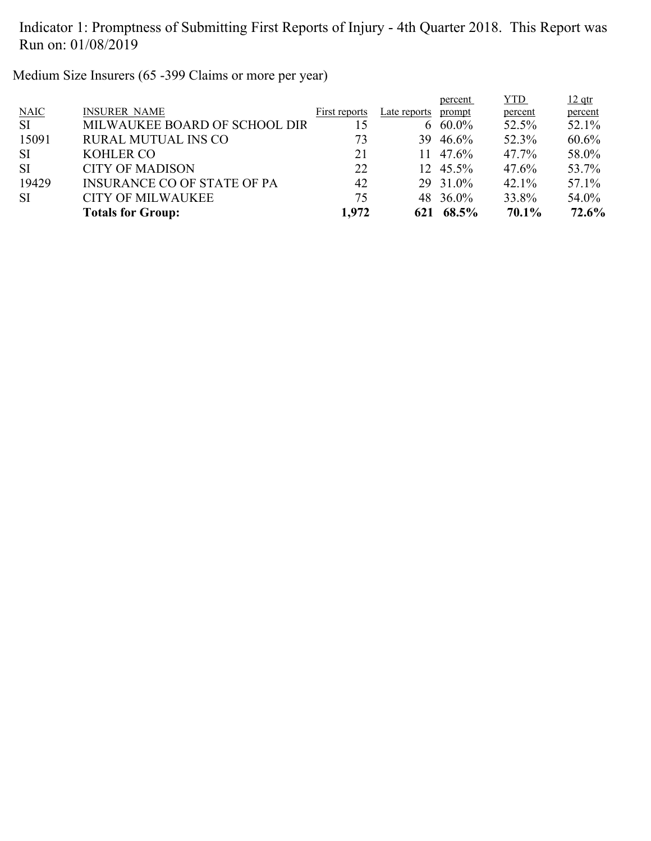Medium Size Insurers (65 -399 Claims or more per year)

|             |                                    |               |              | percent  | <b>YTD</b> | $12$ qtr |
|-------------|------------------------------------|---------------|--------------|----------|------------|----------|
| <b>NAIC</b> | <b>INSURER NAME</b>                | First reports | Late reports | prompt   | percent    | percent  |
| <b>SI</b>   | MILWAUKEE BOARD OF SCHOOL DIR      | 15            |              | 6 60.0%  | 52.5%      | 52.1%    |
| 15091       | <b>RURAL MUTUAL INS CO</b>         | 73            | 39.          | 46.6%    | 52.3%      | $60.6\%$ |
| <b>SI</b>   | <b>KOHLER CO</b>                   | 21            |              | 11 47.6% | 47.7%      | 58.0%    |
| <b>SI</b>   | <b>CITY OF MADISON</b>             | 22            |              | 12 45.5% | 47.6%      | 53.7%    |
| 19429       | <b>INSURANCE CO OF STATE OF PA</b> | 42            |              | 29 31.0% | 42.1%      | 57.1%    |
| <b>SI</b>   | <b>CITY OF MILWAUKEE</b>           | 75            |              | 48 36.0% | 33.8%      | 54.0%    |
|             | <b>Totals for Group:</b>           | 1,972         | 621          | 68.5%    | 70.1%      | 72.6%    |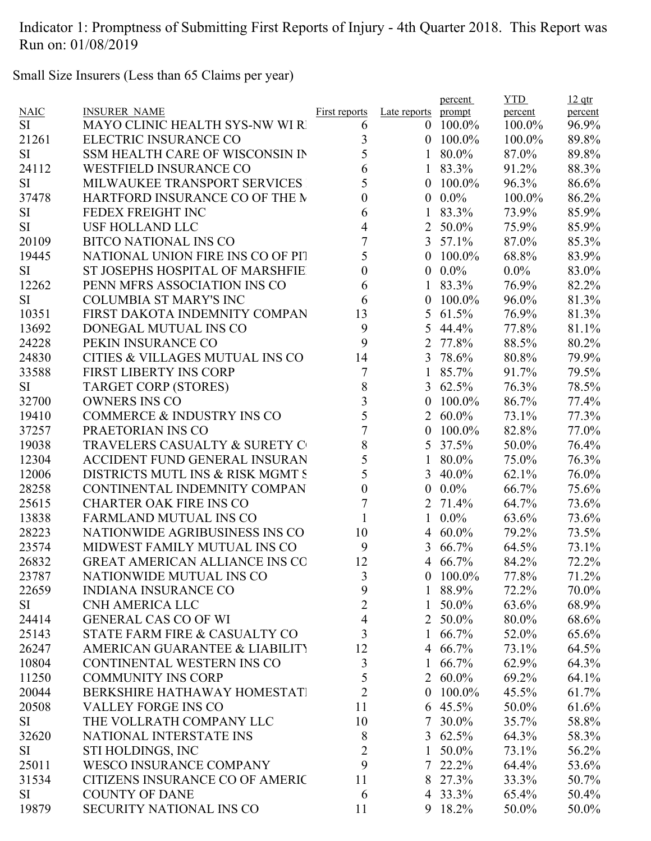Small Size Insurers (Less than 65 Claims per year)

|             |                                       |                      |                  | percent         | <b>YTD</b> | $12$ qtr |
|-------------|---------------------------------------|----------------------|------------------|-----------------|------------|----------|
| <b>NAIC</b> | <b>INSURER NAME</b>                   | <b>First reports</b> | Late reports     | prompt          | percent    | percent  |
| <b>SI</b>   | <b>MAYO CLINIC HEALTH SYS-NW WI R</b> | 6                    | $\theta$         | $100.0\%$       | 100.0%     | 96.9%    |
| 21261       | ELECTRIC INSURANCE CO                 | 3                    | $\overline{0}$   | $100.0\%$       | 100.0%     | 89.8%    |
| <b>SI</b>   | SSM HEALTH CARE OF WISCONSIN IN       | 5                    | 1                | 80.0%           | 87.0%      | 89.8%    |
| 24112       | <b>WESTFIELD INSURANCE CO</b>         | 6                    | $\mathbf{1}$     | 83.3%           | 91.2%      | 88.3%    |
| <b>SI</b>   | MILWAUKEE TRANSPORT SERVICES          | 5                    | $\overline{0}$   | 100.0%          | 96.3%      | 86.6%    |
| 37478       | HARTFORD INSURANCE CO OF THE M        | $\boldsymbol{0}$     | $\mathbf{0}$     | $0.0\%$         | 100.0%     | 86.2%    |
| <b>SI</b>   | FEDEX FREIGHT INC                     | 6                    | 1                | 83.3%           | 73.9%      | 85.9%    |
| <b>SI</b>   | <b>USF HOLLAND LLC</b>                | 4                    | $\overline{2}$   | 50.0%           | 75.9%      | 85.9%    |
| 20109       | <b>BITCO NATIONAL INS CO</b>          | $\overline{7}$       | $\overline{3}$   | 57.1%           | 87.0%      | 85.3%    |
| 19445       | NATIONAL UNION FIRE INS CO OF PIT     | 5                    | $\overline{0}$   | 100.0%          | 68.8%      | 83.9%    |
| <b>SI</b>   | ST JOSEPHS HOSPITAL OF MARSHFIE       | $\boldsymbol{0}$     | $\mathbf{0}$     | $0.0\%$         | $0.0\%$    | 83.0%    |
| 12262       | PENN MFRS ASSOCIATION INS CO          | 6                    | 1                | 83.3%           | 76.9%      | 82.2%    |
| <b>SI</b>   | <b>COLUMBIA ST MARY'S INC</b>         | 6                    | $\theta$         | 100.0%          | 96.0%      | 81.3%    |
| 10351       | FIRST DAKOTA INDEMNITY COMPAN         | 13                   | 5                | 61.5%           | 76.9%      | 81.3%    |
| 13692       | DONEGAL MUTUAL INS CO                 | 9                    | 5                | 44.4%           | 77.8%      | 81.1%    |
| 24228       | PEKIN INSURANCE CO                    | 9                    | 2                | 77.8%           | 88.5%      | 80.2%    |
| 24830       | CITIES & VILLAGES MUTUAL INS CO       | 14                   | 3                | 78.6%           | 80.8%      | 79.9%    |
| 33588       | <b>FIRST LIBERTY INS CORP</b>         | $\overline{7}$       | $\mathbf{1}$     | 85.7%           | 91.7%      | 79.5%    |
| <b>SI</b>   | <b>TARGET CORP (STORES)</b>           | $\,$ $\,$            |                  | 3 $62.5%$       | 76.3%      | 78.5%    |
| 32700       | <b>OWNERS INS CO</b>                  | 3                    | $\boldsymbol{0}$ | 100.0%          | 86.7%      | 77.4%    |
| 19410       | <b>COMMERCE &amp; INDUSTRY INS CO</b> | 5                    | $\overline{2}$   | $60.0\%$        | 73.1%      | 77.3%    |
| 37257       | PRAETORIAN INS CO                     | $\overline{7}$       | $\boldsymbol{0}$ | 100.0%          | 82.8%      | 77.0%    |
| 19038       | TRAVELERS CASUALTY & SURETY C         | 8                    | 5                | 37.5%           | 50.0%      | 76.4%    |
| 12304       | <b>ACCIDENT FUND GENERAL INSURAN</b>  | 5                    |                  | 80.0%           | 75.0%      | 76.3%    |
| 12006       | DISTRICTS MUTL INS & RISK MGMT S      | 5                    | 3                | 40.0%           | 62.1%      | 76.0%    |
| 28258       | CONTINENTAL INDEMNITY COMPAN          | $\boldsymbol{0}$     | $\boldsymbol{0}$ | $0.0\%$         | 66.7%      | 75.6%    |
| 25615       | <b>CHARTER OAK FIRE INS CO</b>        | $\overline{7}$       | 2                | 71.4%           | 64.7%      | 73.6%    |
| 13838       | <b>FARMLAND MUTUAL INS CO</b>         | $\mathbf{1}$         |                  | $0.0\%$         | 63.6%      | 73.6%    |
| 28223       | NATIONWIDE AGRIBUSINESS INS CO        | 10                   | 4                | $60.0\%$        | 79.2%      | 73.5%    |
| 23574       | MIDWEST FAMILY MUTUAL INS CO          | 9                    | 3                | 66.7%           | 64.5%      | 73.1%    |
| 26832       | <b>GREAT AMERICAN ALLIANCE INS CO</b> | 12                   |                  | 4 66.7%         | 84.2%      | 72.2%    |
| 23787       | NATIONWIDE MUTUAL INS CO              | 3                    |                  | $0$ 100.0%      | 77.8%      | 71.2%    |
| 22659       | <b>INDIANA INSURANCE CO</b>           | 9                    | $\mathbf{1}$     | 88.9%           | 72.2%      | 70.0%    |
| <b>SI</b>   | <b>CNH AMERICA LLC</b>                | $\overline{2}$       | 1                | 50.0%           | 63.6%      | 68.9%    |
| 24414       | <b>GENERAL CAS CO OF WI</b>           | $\overline{4}$       |                  | 2 50.0%         | 80.0%      | 68.6%    |
| 25143       | STATE FARM FIRE & CASUALTY CO         | 3                    |                  | 1 $66.7\%$      | 52.0%      | 65.6%    |
| 26247       | AMERICAN GUARANTEE & LIABILITY        | 12                   |                  | 4 66.7%         | 73.1%      | 64.5%    |
| 10804       | CONTINENTAL WESTERN INS CO            | $\overline{3}$       | 1                | 66.7%           | 62.9%      | 64.3%    |
| 11250       | <b>COMMUNITY INS CORP</b>             | 5                    |                  | 2 60.0%         | 69.2%      | 64.1%    |
| 20044       | BERKSHIRE HATHAWAY HOMESTATI          | $\overline{2}$       |                  | $0$ 100.0%      | 45.5%      | 61.7%    |
| 20508       | <b>VALLEY FORGE INS CO</b>            | 11                   |                  | $6\quad 45.5\%$ | 50.0%      | 61.6%    |
| SI          | THE VOLLRATH COMPANY LLC              | 10                   |                  | 7 30.0%         | 35.7%      | 58.8%    |
| 32620       | NATIONAL INTERSTATE INS               | 8                    |                  | 3 $62.5%$       | 64.3%      | 58.3%    |
| SI          | STI HOLDINGS, INC                     | $\overline{2}$       | 1                | 50.0%           | 73.1%      | 56.2%    |
| 25011       | <b>WESCO INSURANCE COMPANY</b>        | 9                    |                  | 7 22.2%         | 64.4%      | 53.6%    |
| 31534       | CITIZENS INSURANCE CO OF AMERIC       | 11                   | 8                | 27.3%           | 33.3%      | 50.7%    |
| <b>SI</b>   | <b>COUNTY OF DANE</b>                 | 6                    |                  | 4 33.3%         | 65.4%      | 50.4%    |
| 19879       | SECURITY NATIONAL INS CO              | 11                   |                  | 9 18.2%         | 50.0%      | 50.0%    |
|             |                                       |                      |                  |                 |            |          |